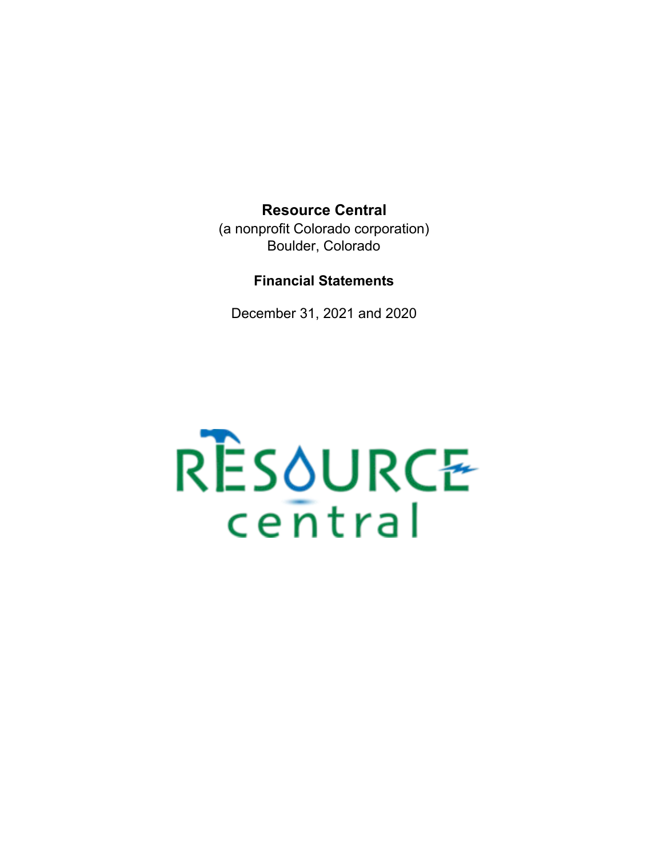(a nonprofit Colorado corporation) Boulder, Colorado

## **Financial Statements**

December 31, 2021 and 2020

# RESOURCE central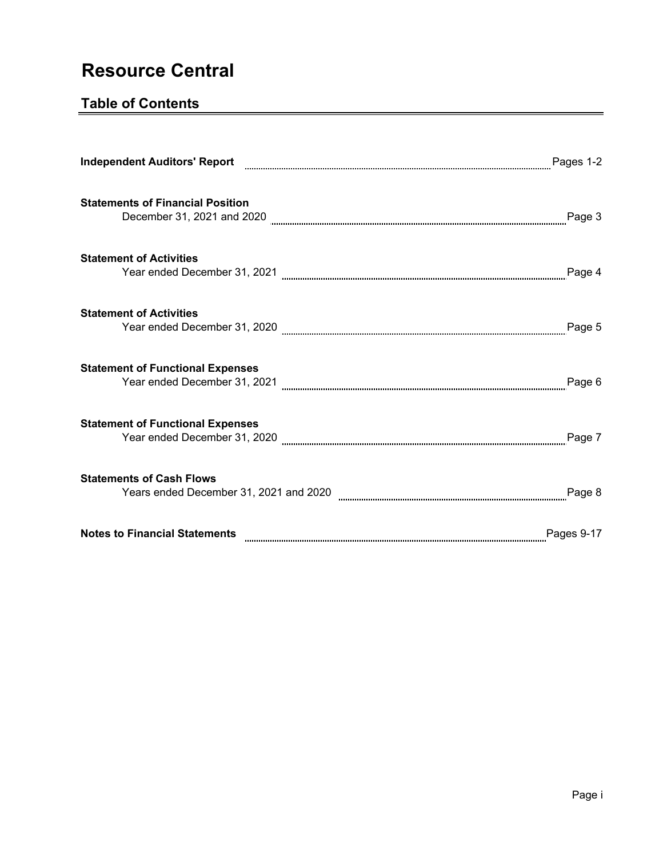## **Table of Contents**

| <b>Independent Auditors' Report</b>                                       | Pages 1-2  |
|---------------------------------------------------------------------------|------------|
| <b>Statements of Financial Position</b><br>December 31, 2021 and 2020     | Page 3     |
| <b>Statement of Activities</b>                                            | Page 4     |
| <b>Statement of Activities</b>                                            | Page 5     |
| <b>Statement of Functional Expenses</b><br>Year ended December 31, 2021   | Page 6     |
| <b>Statement of Functional Expenses</b><br>Year ended December 31, 2020   | Page 7     |
| <b>Statements of Cash Flows</b><br>Years ended December 31, 2021 and 2020 | Page 8     |
| <b>Notes to Financial Statements</b>                                      | Pages 9-17 |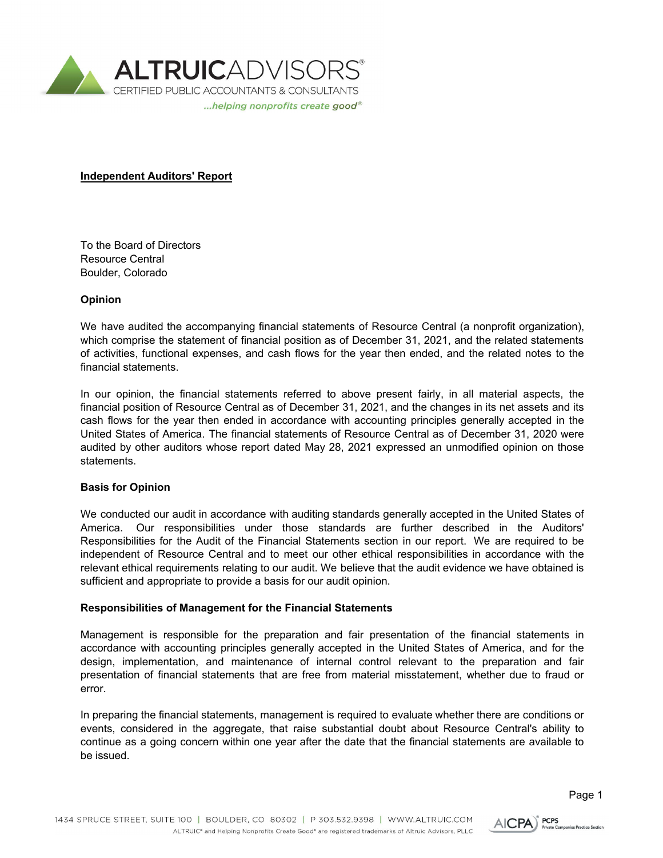

#### **Independent Auditors' Report**

To the Board of Directors Resource Central Boulder, Colorado

#### **Opinion**

We have audited the accompanying financial statements of Resource Central (a nonprofit organization), which comprise the statement of financial position as of December 31, 2021, and the related statements of activities, functional expenses, and cash flows for the year then ended, and the related notes to the financial statements.

In our opinion, the financial statements referred to above present fairly, in all material aspects, the financial position of Resource Central as of December 31, 2021, and the changes in its net assets and its cash flows for the year then ended in accordance with accounting principles generally accepted in the United States of America. The financial statements of Resource Central as of December 31, 2020 were audited by other auditors whose report dated May 28, 2021 expressed an unmodified opinion on those statements.

#### **Basis for Opinion**

We conducted our audit in accordance with auditing standards generally accepted in the United States of America. Our responsibilities under those standards are further described in the Auditors' Responsibilities for the Audit of the Financial Statements section in our report. We are required to be independent of Resource Central and to meet our other ethical responsibilities in accordance with the relevant ethical requirements relating to our audit. We believe that the audit evidence we have obtained is sufficient and appropriate to provide a basis for our audit opinion.

#### **Responsibilities of Management for the Financial Statements**

Management is responsible for the preparation and fair presentation of the financial statements in accordance with accounting principles generally accepted in the United States of America, and for the design, implementation, and maintenance of internal control relevant to the preparation and fair presentation of financial statements that are free from material misstatement, whether due to fraud or error.

In preparing the financial statements, management is required to evaluate whether there are conditions or events, considered in the aggregate, that raise substantial doubt about Resource Central's ability to continue as a going concern within one year after the date that the financial statements are available to be issued.

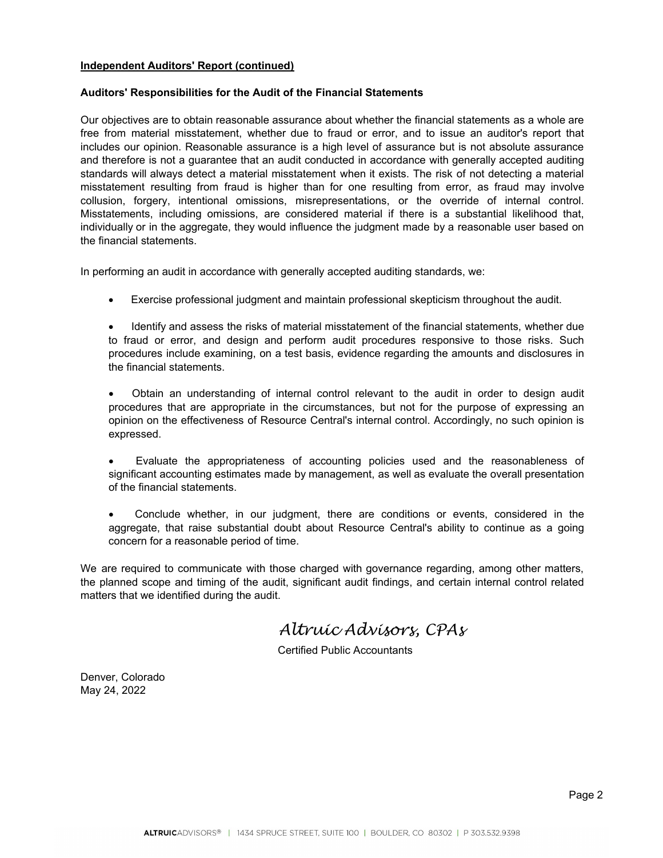#### **Independent Auditors' Report (continued)**

#### **Auditors' Responsibilities for the Audit of the Financial Statements**

Our objectives are to obtain reasonable assurance about whether the financial statements as a whole are free from material misstatement, whether due to fraud or error, and to issue an auditor's report that includes our opinion. Reasonable assurance is a high level of assurance but is not absolute assurance and therefore is not a guarantee that an audit conducted in accordance with generally accepted auditing standards will always detect a material misstatement when it exists. The risk of not detecting a material misstatement resulting from fraud is higher than for one resulting from error, as fraud may involve collusion, forgery, intentional omissions, misrepresentations, or the override of internal control. Misstatements, including omissions, are considered material if there is a substantial likelihood that, individually or in the aggregate, they would influence the judgment made by a reasonable user based on the financial statements.

In performing an audit in accordance with generally accepted auditing standards, we:

Exercise professional judgment and maintain professional skepticism throughout the audit.

 Identify and assess the risks of material misstatement of the financial statements, whether due to fraud or error, and design and perform audit procedures responsive to those risks. Such procedures include examining, on a test basis, evidence regarding the amounts and disclosures in the financial statements.

 Obtain an understanding of internal control relevant to the audit in order to design audit procedures that are appropriate in the circumstances, but not for the purpose of expressing an opinion on the effectiveness of Resource Central's internal control. Accordingly, no such opinion is expressed.

 Evaluate the appropriateness of accounting policies used and the reasonableness of significant accounting estimates made by management, as well as evaluate the overall presentation of the financial statements.

 Conclude whether, in our judgment, there are conditions or events, considered in the aggregate, that raise substantial doubt about Resource Central's ability to continue as a going concern for a reasonable period of time.

We are required to communicate with those charged with governance regarding, among other matters, the planned scope and timing of the audit, significant audit findings, and certain internal control related matters that we identified during the audit.

*Altruic Advisors, CPAs*

Certified Public Accountants

Denver, Colorado May 24, 2022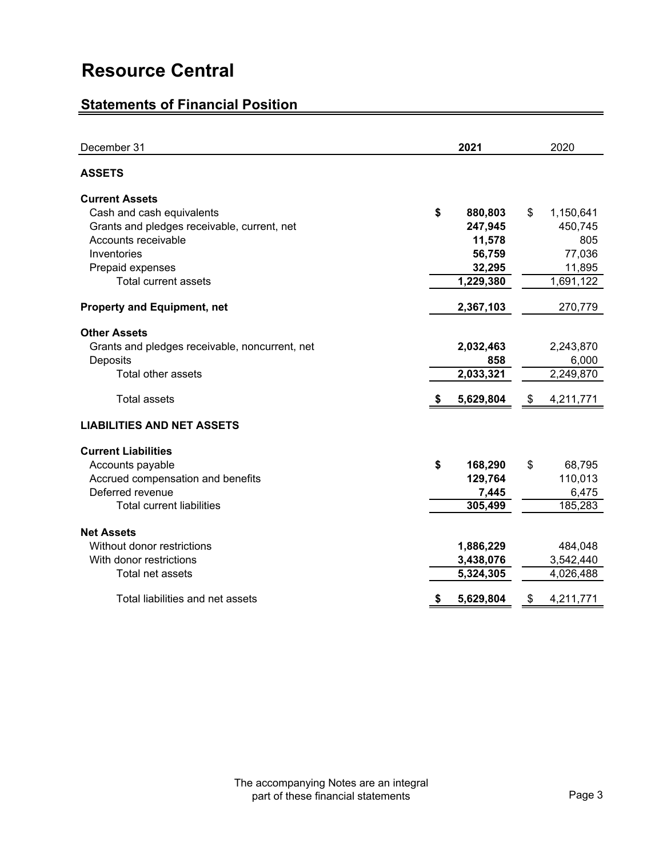## **Statements of Financial Position**

| December 31                                    |    | 2021               | 2020            |
|------------------------------------------------|----|--------------------|-----------------|
| <b>ASSETS</b>                                  |    |                    |                 |
| <b>Current Assets</b>                          |    |                    |                 |
| Cash and cash equivalents                      | \$ | 880,803            | \$<br>1,150,641 |
| Grants and pledges receivable, current, net    |    | 247,945            | 450,745         |
| Accounts receivable                            |    | 11,578             | 805             |
| Inventories                                    |    | 56,759             | 77,036          |
| Prepaid expenses                               |    | 32,295             | 11,895          |
| <b>Total current assets</b>                    |    | $\sqrt{1,229,380}$ | 1,691,122       |
| <b>Property and Equipment, net</b>             |    | 2,367,103          | 270,779         |
| <b>Other Assets</b>                            |    |                    |                 |
| Grants and pledges receivable, noncurrent, net |    | 2,032,463          | 2,243,870       |
| Deposits                                       |    | 858                | 6,000           |
| <b>Total other assets</b>                      |    | 2,033,321          | 2,249,870       |
|                                                |    |                    |                 |
| <b>Total assets</b>                            | -S | 5,629,804          | \$<br>4,211,771 |
| <b>LIABILITIES AND NET ASSETS</b>              |    |                    |                 |
| <b>Current Liabilities</b>                     |    |                    |                 |
| Accounts payable                               | \$ | 168,290            | \$<br>68,795    |
| Accrued compensation and benefits              |    | 129,764            | 110,013         |
| Deferred revenue                               |    | 7,445              | 6,475           |
| <b>Total current liabilities</b>               |    | 305,499            | 185,283         |
|                                                |    |                    |                 |
| <b>Net Assets</b>                              |    |                    |                 |
| Without donor restrictions                     |    | 1,886,229          | 484,048         |
| With donor restrictions                        |    | 3,438,076          | 3,542,440       |
| Total net assets                               |    | 5,324,305          | 4,026,488       |
| Total liabilities and net assets               | \$ | 5,629,804          | \$<br>4,211,771 |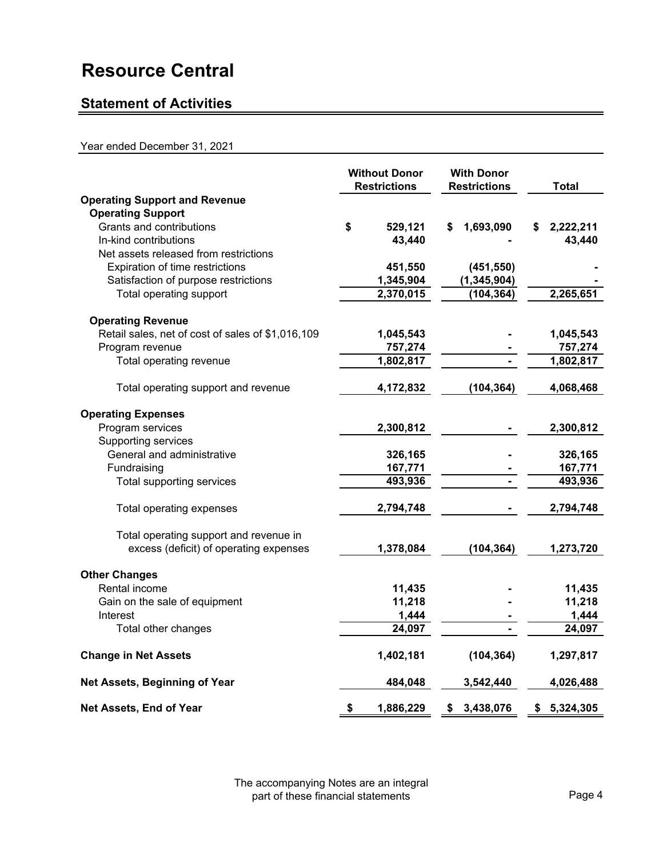## **Statement of Activities**

Year ended December 31, 2021

|                                                   |    | <b>Without Donor</b><br><b>Restrictions</b> | <b>With Donor</b><br><b>Restrictions</b> |    | Total     |
|---------------------------------------------------|----|---------------------------------------------|------------------------------------------|----|-----------|
| <b>Operating Support and Revenue</b>              |    |                                             |                                          |    |           |
| <b>Operating Support</b>                          |    |                                             |                                          |    |           |
| Grants and contributions                          | \$ | 529,121                                     | 1,693,090<br>\$                          | S  | 2,222,211 |
| In-kind contributions                             |    | 43,440                                      |                                          |    | 43,440    |
| Net assets released from restrictions             |    |                                             |                                          |    |           |
| Expiration of time restrictions                   |    | 451,550                                     | (451, 550)                               |    |           |
| Satisfaction of purpose restrictions              |    | 1,345,904                                   | (1, 345, 904)                            |    |           |
| Total operating support                           |    | 2,370,015                                   | (104, 364)                               |    | 2,265,651 |
| <b>Operating Revenue</b>                          |    |                                             |                                          |    |           |
| Retail sales, net of cost of sales of \$1,016,109 |    | 1,045,543                                   |                                          |    | 1,045,543 |
| Program revenue                                   |    | 757,274                                     |                                          |    | 757,274   |
| Total operating revenue                           |    | 1,802,817                                   |                                          |    | 1,802,817 |
| Total operating support and revenue               |    | 4,172,832                                   | (104, 364)                               |    | 4,068,468 |
| <b>Operating Expenses</b>                         |    |                                             |                                          |    |           |
| Program services                                  |    | 2,300,812                                   |                                          |    | 2,300,812 |
| Supporting services                               |    |                                             |                                          |    |           |
| General and administrative                        |    | 326,165                                     |                                          |    | 326,165   |
| Fundraising                                       |    | 167,771                                     |                                          |    | 167,771   |
| Total supporting services                         |    | 493,936                                     |                                          |    | 493,936   |
| Total operating expenses                          |    | 2,794,748                                   |                                          |    | 2,794,748 |
| Total operating support and revenue in            |    |                                             |                                          |    |           |
| excess (deficit) of operating expenses            |    | 1,378,084                                   | (104, 364)                               |    | 1,273,720 |
| <b>Other Changes</b>                              |    |                                             |                                          |    |           |
| Rental income                                     |    | 11,435                                      |                                          |    | 11,435    |
| Gain on the sale of equipment                     |    | 11,218                                      |                                          |    | 11,218    |
| Interest                                          |    | 1,444                                       |                                          |    | 1,444     |
| Total other changes                               |    | 24,097                                      |                                          |    | 24,097    |
| <b>Change in Net Assets</b>                       |    | 1,402,181                                   | (104, 364)                               |    | 1,297,817 |
| Net Assets, Beginning of Year                     |    | 484,048                                     | 3,542,440                                |    | 4,026,488 |
| Net Assets, End of Year                           | \$ | 1,886,229                                   | \$<br>3,438,076                          | \$ | 5,324,305 |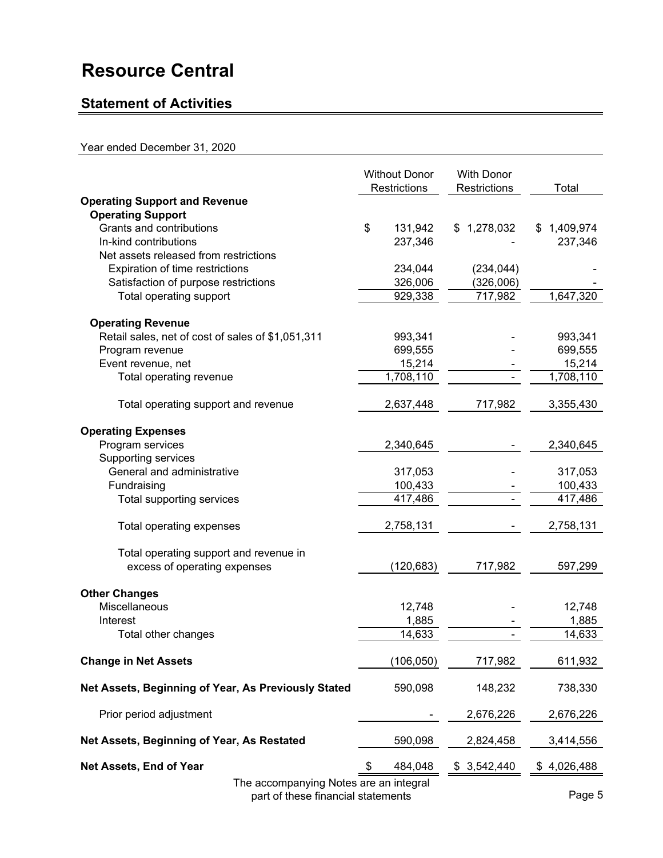### **Statement of Activities**

Year ended December 31, 2020

|                                                     | <b>Without Donor</b><br><b>Restrictions</b> | <b>With Donor</b><br>Restrictions | Total       |
|-----------------------------------------------------|---------------------------------------------|-----------------------------------|-------------|
| <b>Operating Support and Revenue</b>                |                                             |                                   |             |
| <b>Operating Support</b>                            |                                             |                                   |             |
| Grants and contributions                            | \$<br>131,942                               | 1,278,032<br>\$                   | \$1,409,974 |
| In-kind contributions                               | 237,346                                     |                                   | 237,346     |
| Net assets released from restrictions               |                                             |                                   |             |
| Expiration of time restrictions                     | 234,044                                     | (234, 044)                        |             |
| Satisfaction of purpose restrictions                | 326,006                                     | (326,006)                         |             |
| Total operating support                             | 929,338                                     | 717,982                           | 1,647,320   |
| <b>Operating Revenue</b>                            |                                             |                                   |             |
| Retail sales, net of cost of sales of \$1,051,311   | 993,341                                     |                                   | 993,341     |
| Program revenue                                     | 699,555                                     |                                   | 699,555     |
| Event revenue, net                                  | 15,214                                      |                                   | 15,214      |
| Total operating revenue                             | 1,708,110                                   |                                   | 1,708,110   |
|                                                     |                                             |                                   |             |
| Total operating support and revenue                 | 2,637,448                                   | 717,982                           | 3,355,430   |
|                                                     |                                             |                                   |             |
| <b>Operating Expenses</b>                           |                                             |                                   |             |
| Program services                                    | 2,340,645                                   |                                   | 2,340,645   |
| Supporting services                                 |                                             |                                   |             |
| General and administrative                          | 317,053                                     |                                   | 317,053     |
| Fundraising                                         | 100,433                                     |                                   | 100,433     |
| Total supporting services                           | 417,486                                     |                                   | 417,486     |
| Total operating expenses                            | 2,758,131                                   |                                   | 2,758,131   |
| Total operating support and revenue in              |                                             |                                   |             |
| excess of operating expenses                        | (120, 683)                                  | 717,982                           | 597,299     |
|                                                     |                                             |                                   |             |
| <b>Other Changes</b>                                |                                             |                                   |             |
| Miscellaneous                                       | 12,748                                      |                                   | 12,748      |
| Interest                                            | 1,885                                       |                                   | 1,885       |
| Total other changes                                 | 14,633                                      |                                   | 14,633      |
| <b>Change in Net Assets</b>                         | (106, 050)                                  | 717,982                           | 611,932     |
|                                                     |                                             |                                   |             |
| Net Assets, Beginning of Year, As Previously Stated | 590,098                                     | 148,232                           | 738,330     |
| Prior period adjustment                             |                                             | 2,676,226                         | 2,676,226   |
| Net Assets, Beginning of Year, As Restated          | 590,098                                     | 2,824,458                         | 3,414,556   |
| Net Assets, End of Year                             | \$<br>484,048                               | \$3,542,440                       | \$4,026,488 |
| The accompanying Notes are an integral              |                                             |                                   | ⊶∼          |

part of these financial statements **Page 5**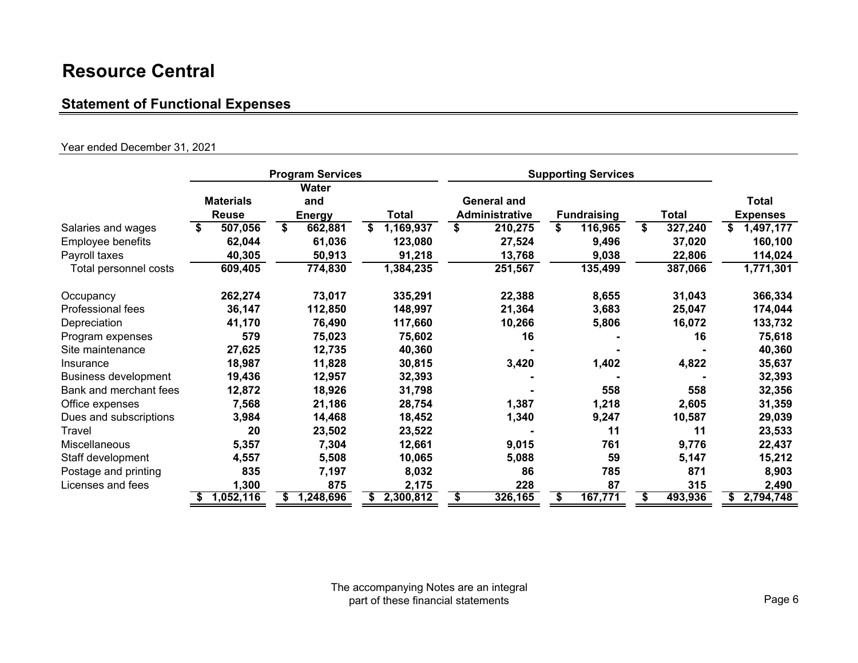## **Statement of Functional Expenses**

#### Year ended December 31, 2021

|                             |    |                                  |    | <b>Program Services</b>       |                 |                                        |                                             | <b>Supporting Services</b> |               |                          |
|-----------------------------|----|----------------------------------|----|-------------------------------|-----------------|----------------------------------------|---------------------------------------------|----------------------------|---------------|--------------------------|
|                             |    | <b>Materials</b><br><b>Reuse</b> |    | <b>Water</b><br>and<br>Energy | Total           |                                        | <b>General and</b><br><b>Administrative</b> | <b>Fundraising</b>         | Total         | Total<br><b>Expenses</b> |
| Salaries and wages          | \$ | 507,056                          | \$ | 662,881                       | \$<br>1,169,937 | \$                                     | 210,275                                     | \$<br>116,965              | \$<br>327,240 | 1,497,177                |
| Employee benefits           |    | 62,044                           |    | 61,036                        | 123,080         |                                        | 27,524                                      | 9,496                      | 37,020        | 160,100                  |
| Payroll taxes               |    | 40,305                           |    | 50,913                        | 91,218          |                                        | 13,768                                      | 9,038                      | 22,806        | 114,024                  |
| Total personnel costs       |    | 609,405                          |    | 774,830                       | 1,384,235       |                                        | 251,567                                     | 135,499                    | 387,066       | 1,771,301                |
| Occupancy                   |    | 262,274                          |    | 73,017                        | 335,291         |                                        | 22,388                                      | 8,655                      | 31,043        | 366,334                  |
| Professional fees           |    | 36,147                           |    | 112,850                       | 148,997         |                                        | 21,364                                      | 3,683                      | 25,047        | 174,044                  |
| Depreciation                |    | 41,170                           |    | 76,490                        | 117,660         |                                        | 10,266                                      | 5,806                      | 16,072        | 133,732                  |
| Program expenses            |    | 579                              |    | 75,023                        | 75,602          |                                        | 16                                          |                            | 16            | 75,618                   |
| Site maintenance            |    | 27,625                           |    | 12,735                        | 40,360          |                                        |                                             |                            |               | 40,360                   |
| Insurance                   |    | 18,987                           |    | 11,828                        | 30,815          |                                        | 3,420                                       | 1,402                      | 4,822         | 35,637                   |
| <b>Business development</b> |    | 19,436                           |    | 12,957                        | 32,393          |                                        |                                             |                            |               | 32,393                   |
| Bank and merchant fees      |    | 12,872                           |    | 18,926                        | 31,798          |                                        |                                             | 558                        | 558           | 32,356                   |
| Office expenses             |    | 7,568                            |    | 21,186                        | 28,754          |                                        | 1,387                                       | 1,218                      | 2,605         | 31,359                   |
| Dues and subscriptions      |    | 3,984                            |    | 14,468                        | 18,452          |                                        | 1,340                                       | 9,247                      | 10,587        | 29,039                   |
| <b>Travel</b>               |    | 20                               |    | 23,502                        | 23,522          |                                        |                                             | 11                         | 11            | 23,533                   |
| <b>Miscellaneous</b>        |    | 5,357                            |    | 7,304                         | 12,661          |                                        | 9,015                                       | 761                        | 9,776         | 22,437                   |
| Staff development           |    | 4,557                            |    | 5,508                         | 10,065          |                                        | 5,088                                       | 59                         | 5,147         | 15,212                   |
| Postage and printing        |    | 835                              |    | 7,197                         | 8,032           |                                        | 86                                          | 785                        | 871           | 8,903                    |
| Licenses and fees           |    | 1,300                            |    | 875                           | 2,175           |                                        | 228                                         | 87                         | 315           | 2,490                    |
|                             | S  | 1,052,116                        | S. | 1,248,696                     | \$<br>2,300,812 | $\overline{\boldsymbol{\mathfrak{s}}}$ | 326,165                                     | \$<br>167,771              | \$<br>493,936 | \$<br>2,794,748          |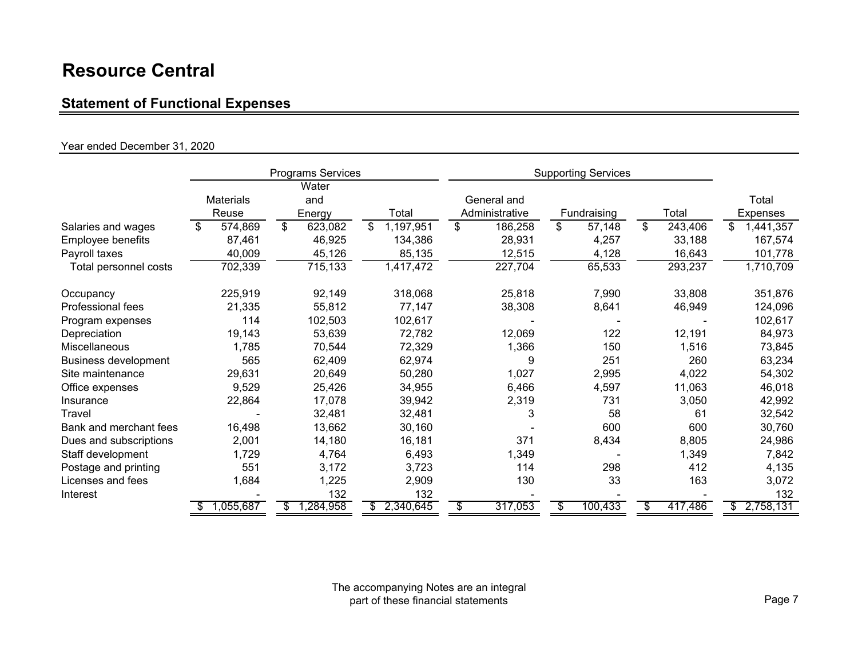## **Statement of Functional Expenses**

#### Year ended December 31, 2020

|                             |                |                  |                | <b>Programs Services</b> |                 |                | <b>Supporting Services</b> |               |                    |
|-----------------------------|----------------|------------------|----------------|--------------------------|-----------------|----------------|----------------------------|---------------|--------------------|
|                             |                |                  |                | Water                    |                 |                |                            |               |                    |
|                             |                | <b>Materials</b> |                | and                      |                 | General and    |                            |               | Total              |
|                             |                | Reuse            |                | Energy                   | Total           | Administrative | Fundraising                | Total         | <b>Expenses</b>    |
| Salaries and wages          | $\mathfrak{P}$ | 574,869          | $\mathfrak{L}$ | 623,082                  | \$<br>1,197,951 | \$<br>186,258  | \$<br>57,148               | \$<br>243,406 | \$<br>,441,357     |
| Employee benefits           |                | 87,461           |                | 46,925                   | 134,386         | 28,931         | 4,257                      | 33,188        | 167,574            |
| Payroll taxes               |                | 40,009           |                | 45,126                   | 85,135          | 12,515         | 4,128                      | 16,643        | 101,778            |
| Total personnel costs       |                | 702,339          |                | 715,133                  | 1,417,472       | 227,704        | 65,533                     | 293,237       | 1,710,709          |
| Occupancy                   |                | 225,919          |                | 92,149                   | 318,068         | 25,818         | 7,990                      | 33,808        | 351,876            |
| Professional fees           |                | 21,335           |                | 55,812                   | 77,147          | 38,308         | 8,641                      | 46,949        | 124,096            |
| Program expenses            |                | 114              |                | 102,503                  | 102,617         |                |                            |               | 102,617            |
| Depreciation                |                | 19,143           |                | 53,639                   | 72,782          | 12,069         | 122                        | 12,191        | 84,973             |
| Miscellaneous               |                | 1,785            |                | 70,544                   | 72,329          | 1,366          | 150                        | 1,516         | 73,845             |
| <b>Business development</b> |                | 565              |                | 62,409                   | 62,974          | 9              | 251                        | 260           | 63,234             |
| Site maintenance            |                | 29,631           |                | 20,649                   | 50,280          | 1,027          | 2,995                      | 4,022         | 54,302             |
| Office expenses             |                | 9,529            |                | 25,426                   | 34,955          | 6,466          | 4,597                      | 11,063        | 46,018             |
| Insurance                   |                | 22,864           |                | 17,078                   | 39,942          | 2,319          | 731                        | 3,050         | 42,992             |
| <b>Travel</b>               |                |                  |                | 32,481                   | 32,481          | 3              | 58                         | 61            | 32,542             |
| Bank and merchant fees      |                | 16,498           |                | 13,662                   | 30,160          |                | 600                        | 600           | 30,760             |
| Dues and subscriptions      |                | 2,001            |                | 14,180                   | 16,181          | 371            | 8,434                      | 8,805         | 24,986             |
| Staff development           |                | 1,729            |                | 4,764                    | 6,493           | 1,349          |                            | 1,349         | 7,842              |
| Postage and printing        |                | 551              |                | 3,172                    | 3,723           | 114            | 298                        | 412           | 4,135              |
| Licenses and fees           |                | 1,684            |                | 1,225                    | 2,909           | 130            | 33                         | 163           | 3,072              |
| Interest                    |                |                  |                | 132                      | 132             |                |                            |               | 132                |
|                             | \$             | 1,055,687        | \$             | 1,284,958                | \$2,340,645     | \$<br>317,053  | \$<br>100,433              | \$<br>417,486 | $\sqrt{2,758,131}$ |

The accompanying Notes are an integral part of these financial statements **Page 7** and the set of these financial statements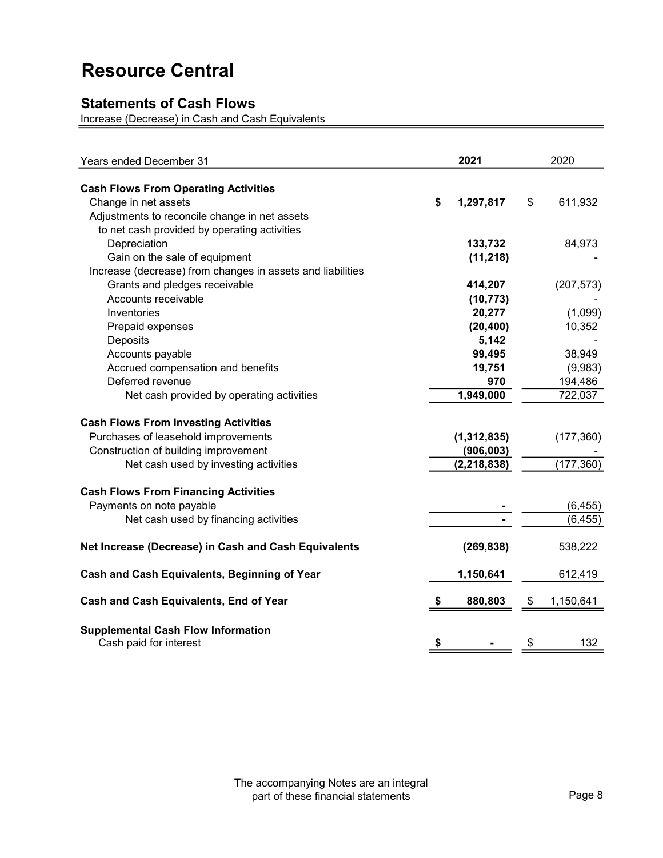## Statements of Cash Flows

Increase (Decrease) in Cash and Cash Equivalents

| Years ended December 31                                    |    | 2021          | 2020            |
|------------------------------------------------------------|----|---------------|-----------------|
| <b>Cash Flows From Operating Activities</b>                |    |               |                 |
| Change in net assets                                       | \$ | 1,297,817     | \$<br>611,932   |
| Adjustments to reconcile change in net assets              |    |               |                 |
| to net cash provided by operating activities               |    |               |                 |
| Depreciation                                               |    | 133,732       | 84,973          |
| Gain on the sale of equipment                              |    | (11, 218)     |                 |
| Increase (decrease) from changes in assets and liabilities |    |               |                 |
| Grants and pledges receivable                              |    | 414,207       | (207, 573)      |
| Accounts receivable                                        |    | (10, 773)     |                 |
| Inventories                                                |    | 20,277        | (1,099)         |
| Prepaid expenses                                           |    | (20, 400)     | 10,352          |
| Deposits                                                   |    | 5,142         |                 |
| Accounts payable                                           |    | 99,495        | 38,949          |
| Accrued compensation and benefits                          |    | 19,751        | (9,983)         |
| Deferred revenue                                           |    | 970           | 194,486         |
| Net cash provided by operating activities                  |    | 1,949,000     | 722,037         |
|                                                            |    |               |                 |
| <b>Cash Flows From Investing Activities</b>                |    |               |                 |
| Purchases of leasehold improvements                        |    | (1, 312, 835) | (177, 360)      |
| Construction of building improvement                       |    | (906, 003)    |                 |
| Net cash used by investing activities                      |    | (2, 218, 838) | (177, 360)      |
|                                                            |    |               |                 |
| <b>Cash Flows From Financing Activities</b>                |    |               |                 |
| Payments on note payable                                   |    |               | (6, 455)        |
| Net cash used by financing activities                      |    |               | (6, 455)        |
|                                                            |    |               |                 |
| Net Increase (Decrease) in Cash and Cash Equivalents       |    | (269, 838)    | 538,222         |
|                                                            |    |               |                 |
| Cash and Cash Equivalents, Beginning of Year               |    | 1,150,641     | 612,419         |
| Cash and Cash Equivalents, End of Year                     | S  | 880,803       | \$<br>1,150,641 |
|                                                            |    |               |                 |
| <b>Supplemental Cash Flow Information</b>                  |    |               |                 |
| Cash paid for interest                                     | \$ |               | \$<br>132       |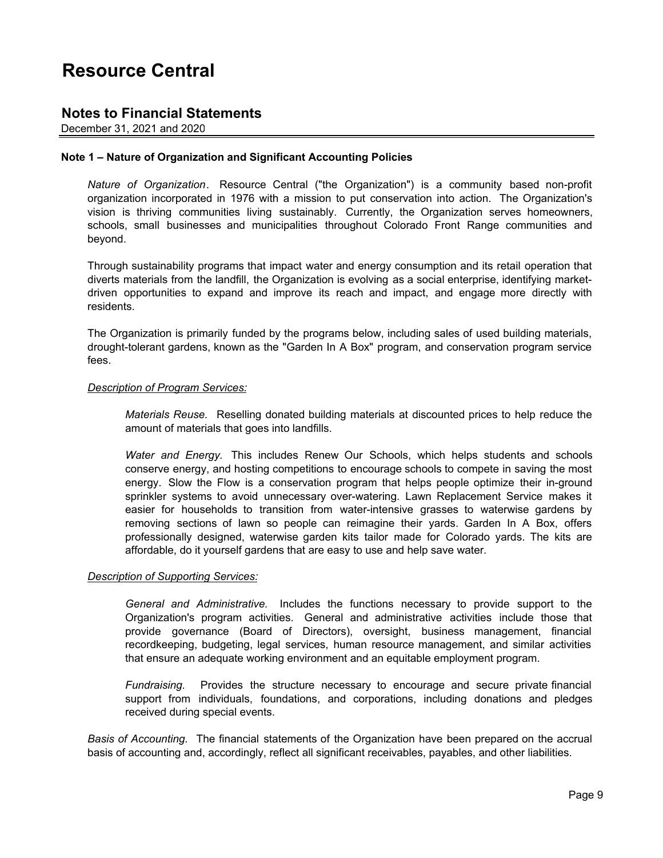#### **Notes to Financial Statements**

December 31, 2021 and 2020

#### **Note 1 – Nature of Organization and Significant Accounting Policies**

*Nature of Organization*. Resource Central ("the Organization") is a community based non-profit organization incorporated in 1976 with a mission to put conservation into action. The Organization's vision is thriving communities living sustainably. Currently, the Organization serves homeowners, schools, small businesses and municipalities throughout Colorado Front Range communities and beyond.

Through sustainability programs that impact water and energy consumption and its retail operation that diverts materials from the landfill, the Organization is evolving as a social enterprise, identifying marketdriven opportunities to expand and improve its reach and impact, and engage more directly with residents.

The Organization is primarily funded by the programs below, including sales of used building materials, drought-tolerant gardens, known as the "Garden In A Box" program, and conservation program service fees.

#### *Description of Program Services:*

*Materials Reuse.* Reselling donated building materials at discounted prices to help reduce the amount of materials that goes into landfills.

*Water and Energy.* This includes Renew Our Schools, which helps students and schools conserve energy, and hosting competitions to encourage schools to compete in saving the most energy. Slow the Flow is a conservation program that helps people optimize their in-ground sprinkler systems to avoid unnecessary over-watering. Lawn Replacement Service makes it easier for households to transition from water-intensive grasses to waterwise gardens by removing sections of lawn so people can reimagine their yards. Garden In A Box, offers professionally designed, waterwise garden kits tailor made for Colorado yards. The kits are affordable, do it yourself gardens that are easy to use and help save water.

#### *Description of Supporting Services:*

*General and Administrative.* Includes the functions necessary to provide support to the Organization's program activities. General and administrative activities include those that provide governance (Board of Directors), oversight, business management, financial recordkeeping, budgeting, legal services, human resource management, and similar activities that ensure an adequate working environment and an equitable employment program.

*Fundraising.* Provides the structure necessary to encourage and secure private financial support from individuals, foundations, and corporations, including donations and pledges received during special events.

*Basis of Accounting.* The financial statements of the Organization have been prepared on the accrual basis of accounting and, accordingly, reflect all significant receivables, payables, and other liabilities.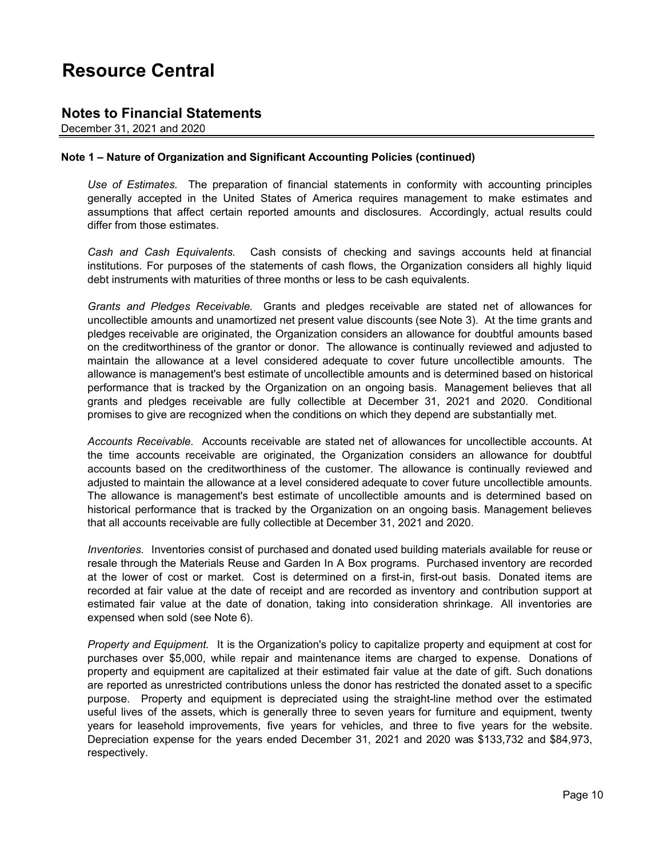#### **Notes to Financial Statements**

December 31, 2021 and 2020

#### **Note 1 – Nature of Organization and Significant Accounting Policies (continued)**

*Use of Estimates.* The preparation of financial statements in conformity with accounting principles generally accepted in the United States of America requires management to make estimates and assumptions that affect certain reported amounts and disclosures. Accordingly, actual results could differ from those estimates.

*Cash and Cash Equivalents.* Cash consists of checking and savings accounts held at financial institutions. For purposes of the statements of cash flows, the Organization considers all highly liquid debt instruments with maturities of three months or less to be cash equivalents.

*Grants and Pledges Receivable.* Grants and pledges receivable are stated net of allowances for uncollectible amounts and unamortized net present value discounts (see Note 3). At the time grants and pledges receivable are originated, the Organization considers an allowance for doubtful amounts based on the creditworthiness of the grantor or donor. The allowance is continually reviewed and adjusted to maintain the allowance at a level considered adequate to cover future uncollectible amounts. The allowance is management's best estimate of uncollectible amounts and is determined based on historical performance that is tracked by the Organization on an ongoing basis. Management believes that all grants and pledges receivable are fully collectible at December 31, 2021 and 2020. Conditional promises to give are recognized when the conditions on which they depend are substantially met.

*Accounts Receivable.* Accounts receivable are stated net of allowances for uncollectible accounts. At the time accounts receivable are originated, the Organization considers an allowance for doubtful accounts based on the creditworthiness of the customer. The allowance is continually reviewed and adjusted to maintain the allowance at a level considered adequate to cover future uncollectible amounts. The allowance is management's best estimate of uncollectible amounts and is determined based on historical performance that is tracked by the Organization on an ongoing basis. Management believes that all accounts receivable are fully collectible at December 31, 2021 and 2020.

*Inventories.* Inventories consist of purchased and donated used building materials available for reuse or resale through the Materials Reuse and Garden In A Box programs. Purchased inventory are recorded at the lower of cost or market. Cost is determined on a first-in, first-out basis. Donated items are recorded at fair value at the date of receipt and are recorded as inventory and contribution support at estimated fair value at the date of donation, taking into consideration shrinkage. All inventories are expensed when sold (see Note 6).

*Property and Equipment.* It is the Organization's policy to capitalize property and equipment at cost for purchases over \$5,000, while repair and maintenance items are charged to expense. Donations of property and equipment are capitalized at their estimated fair value at the date of gift. Such donations are reported as unrestricted contributions unless the donor has restricted the donated asset to a specific purpose. Property and equipment is depreciated using the straight-line method over the estimated useful lives of the assets, which is generally three to seven years for furniture and equipment, twenty years for leasehold improvements, five years for vehicles, and three to five years for the website. Depreciation expense for the years ended December 31, 2021 and 2020 was \$133,732 and \$84,973, respectively.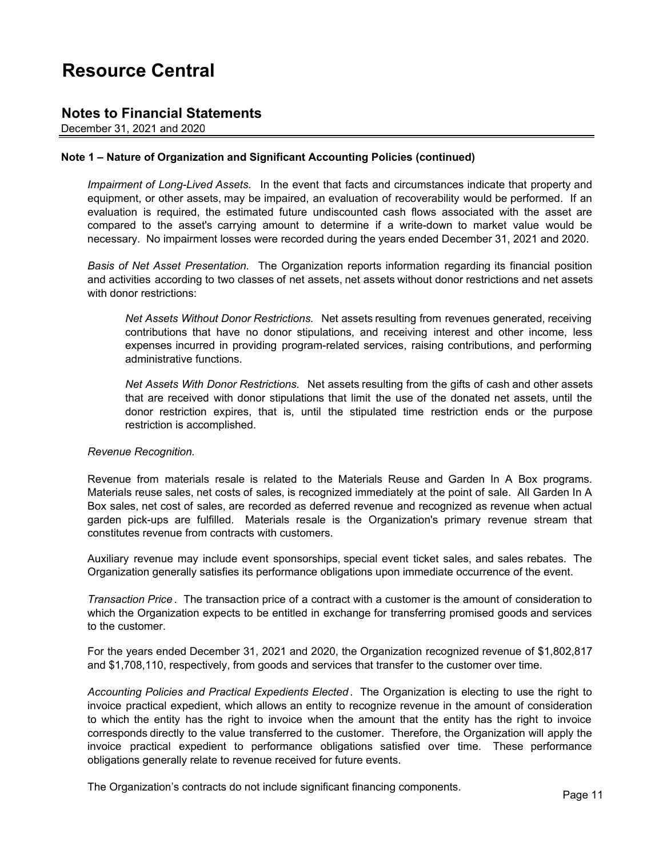#### **Notes to Financial Statements**

December 31, 2021 and 2020

#### **Note 1 – Nature of Organization and Significant Accounting Policies (continued)**

*Impairment of Long-Lived Assets.* In the event that facts and circumstances indicate that property and equipment, or other assets, may be impaired, an evaluation of recoverability would be performed. If an evaluation is required, the estimated future undiscounted cash flows associated with the asset are compared to the asset's carrying amount to determine if a write-down to market value would be necessary. No impairment losses were recorded during the years ended December 31, 2021 and 2020.

*Basis of Net Asset Presentation.* The Organization reports information regarding its financial position and activities according to two classes of net assets, net assets without donor restrictions and net assets with donor restrictions:

*Net Assets Without Donor Restrictions.* Net assets resulting from revenues generated, receiving contributions that have no donor stipulations, and receiving interest and other income, less expenses incurred in providing program-related services, raising contributions, and performing administrative functions.

*Net Assets With Donor Restrictions.* Net assets resulting from the gifts of cash and other assets that are received with donor stipulations that limit the use of the donated net assets, until the donor restriction expires, that is, until the stipulated time restriction ends or the purpose restriction is accomplished.

#### *Revenue Recognition.*

Revenue from materials resale is related to the Materials Reuse and Garden In A Box programs. Materials reuse sales, net costs of sales, is recognized immediately at the point of sale. All Garden In A Box sales, net cost of sales, are recorded as deferred revenue and recognized as revenue when actual garden pick-ups are fulfilled. Materials resale is the Organization's primary revenue stream that constitutes revenue from contracts with customers.

Auxiliary revenue may include event sponsorships, special event ticket sales, and sales rebates. The Organization generally satisfies its performance obligations upon immediate occurrence of the event.

*Transaction Price* . The transaction price of a contract with a customer is the amount of consideration to which the Organization expects to be entitled in exchange for transferring promised goods and services to the customer.

For the years ended December 31, 2021 and 2020, the Organization recognized revenue of \$1,802,817 and \$1,708,110, respectively, from goods and services that transfer to the customer over time.

*Accounting Policies and Practical Expedients Elected* . The Organization is electing to use the right to invoice practical expedient, which allows an entity to recognize revenue in the amount of consideration to which the entity has the right to invoice when the amount that the entity has the right to invoice corresponds directly to the value transferred to the customer. Therefore, the Organization will apply the invoice practical expedient to performance obligations satisfied over time. These performance obligations generally relate to revenue received for future events.

The Organization's contracts do not include significant financing components. Page 11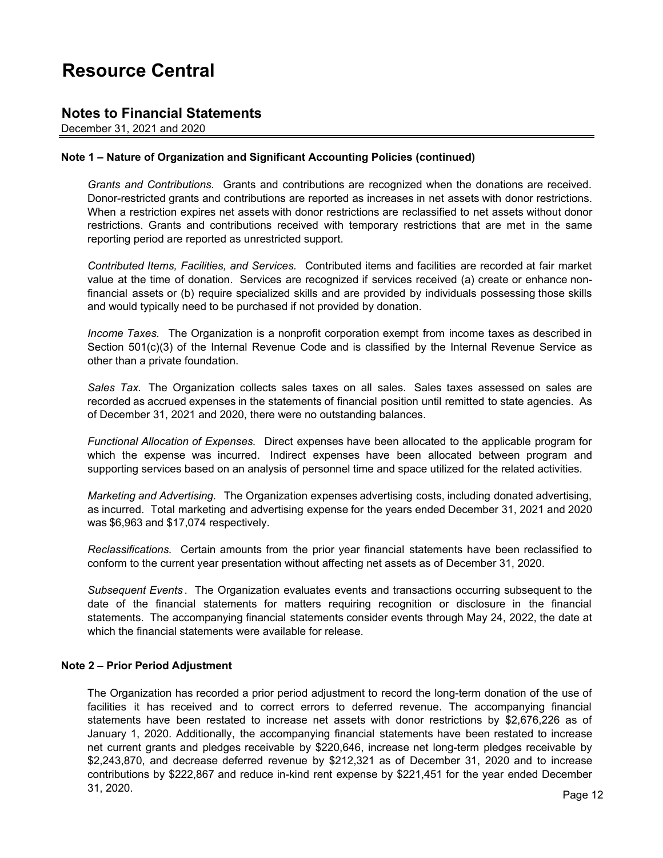#### **Notes to Financial Statements**

December 31, 2021 and 2020

#### **Note 1 – Nature of Organization and Significant Accounting Policies (continued)**

*Grants and Contributions.* Grants and contributions are recognized when the donations are received. Donor-restricted grants and contributions are reported as increases in net assets with donor restrictions. When a restriction expires net assets with donor restrictions are reclassified to net assets without donor restrictions. Grants and contributions received with temporary restrictions that are met in the same reporting period are reported as unrestricted support.

*Contributed Items, Facilities, and Services.* Contributed items and facilities are recorded at fair market value at the time of donation. Services are recognized if services received (a) create or enhance nonfinancial assets or (b) require specialized skills and are provided by individuals possessing those skills and would typically need to be purchased if not provided by donation.

*Income Taxes.* The Organization is a nonprofit corporation exempt from income taxes as described in Section 501(c)(3) of the Internal Revenue Code and is classified by the Internal Revenue Service as other than a private foundation.

*Sales Tax.* The Organization collects sales taxes on all sales. Sales taxes assessed on sales are recorded as accrued expenses in the statements of financial position until remitted to state agencies. As of December 31, 2021 and 2020, there were no outstanding balances.

*Functional Allocation of Expenses.* Direct expenses have been allocated to the applicable program for which the expense was incurred. Indirect expenses have been allocated between program and supporting services based on an analysis of personnel time and space utilized for the related activities.

*Marketing and Advertising.* The Organization expenses advertising costs, including donated advertising, as incurred. Total marketing and advertising expense for the years ended December 31, 2021 and 2020 was \$6,963 and \$17,074 respectively.

*Reclassifications.* Certain amounts from the prior year financial statements have been reclassified to conform to the current year presentation without affecting net assets as of December 31, 2020.

*Subsequent Events* . The Organization evaluates events and transactions occurring subsequent to the date of the financial statements for matters requiring recognition or disclosure in the financial statements. The accompanying financial statements consider events through May 24, 2022, the date at which the financial statements were available for release.

#### **Note 2 – Prior Period Adjustment**

The Organization has recorded a prior period adjustment to record the long-term donation of the use of facilities it has received and to correct errors to deferred revenue. The accompanying financial statements have been restated to increase net assets with donor restrictions by \$2,676,226 as of January 1, 2020. Additionally, the accompanying financial statements have been restated to increase net current grants and pledges receivable by \$220,646, increase net long-term pledges receivable by \$2,243,870, and decrease deferred revenue by \$212,321 as of December 31, 2020 and to increase contributions by \$222,867 and reduce in-kind rent expense by \$221,451 for the year ended December 31, 2020.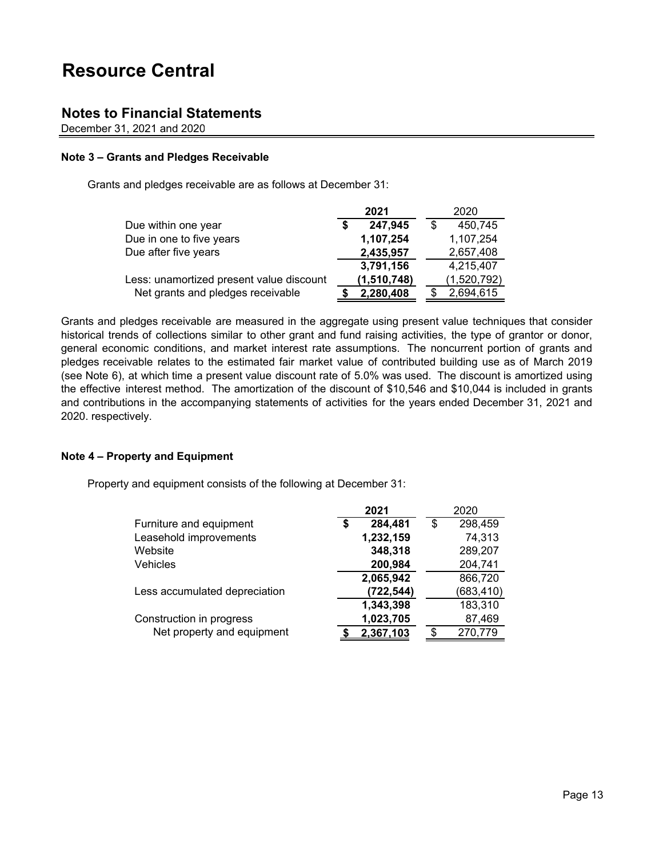#### **Notes to Financial Statements**

December 31, 2021 and 2020

#### **Note 3 – Grants and Pledges Receivable**

Grants and pledges receivable are as follows at December 31:

|                                          | 2021        | 2020        |
|------------------------------------------|-------------|-------------|
| Due within one year                      | 247,945     | 450,745     |
| Due in one to five years                 | 1,107,254   | 1,107,254   |
| Due after five years                     | 2,435,957   | 2,657,408   |
|                                          | 3,791,156   | 4,215,407   |
| Less: unamortized present value discount | (1,510,748) | (1,520,792) |
| Net grants and pledges receivable        | 2,280,408   | 2,694,615   |

Grants and pledges receivable are measured in the aggregate using present value techniques that consider historical trends of collections similar to other grant and fund raising activities, the type of grantor or donor, general economic conditions, and market interest rate assumptions. The noncurrent portion of grants and pledges receivable relates to the estimated fair market value of contributed building use as of March 2019 (see Note 6), at which time a present value discount rate of 5.0% was used. The discount is amortized using the effective interest method. The amortization of the discount of \$10,546 and \$10,044 is included in grants and contributions in the accompanying statements of activities for the years ended December 31, 2021 and 2020. respectively.

#### **Note 4 – Property and Equipment**

Property and equipment consists of the following at December 31:

|                               |   | 2021       |   | 2020       |
|-------------------------------|---|------------|---|------------|
| Furniture and equipment       | S | 284,481    | S | 298,459    |
| Leasehold improvements        |   | 1,232,159  |   | 74,313     |
| Website                       |   | 348,318    |   | 289,207    |
| Vehicles                      |   | 200,984    |   | 204,741    |
|                               |   | 2,065,942  |   | 866,720    |
| Less accumulated depreciation |   | (722, 544) |   | (683, 410) |
|                               |   | 1,343,398  |   | 183,310    |
| Construction in progress      |   | 1,023,705  |   | 87,469     |
| Net property and equipment    |   | 2,367,103  |   | 270,779    |
|                               |   |            |   |            |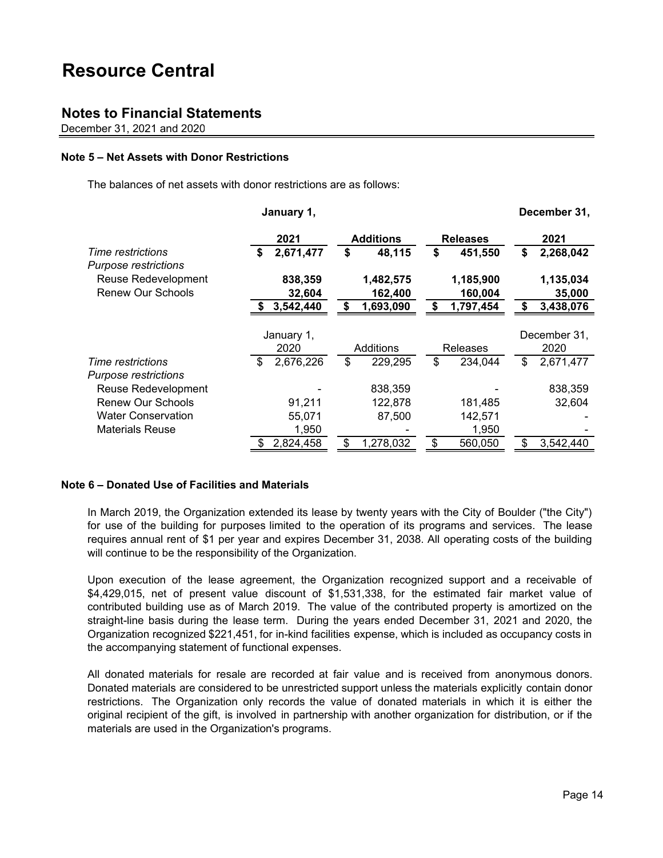#### **Notes to Financial Statements**

December 31, 2021 and 2020

#### **Note 5 – Net Assets with Donor Restrictions**

The balances of net assets with donor restrictions are as follows:

|                             | January 1,        |                  |                 | December 31,    |
|-----------------------------|-------------------|------------------|-----------------|-----------------|
|                             | 2021              | <b>Additions</b> | <b>Releases</b> | 2021            |
| Time restrictions           | 2,671,477<br>\$   | 48,115<br>\$     | 451,550<br>\$   | \$<br>2,268,042 |
| Purpose restrictions        |                   |                  |                 |                 |
| Reuse Redevelopment         | 838,359           | 1,482,575        | 1,185,900       | 1,135,034       |
| <b>Renew Our Schools</b>    | 32,604            | 162,400          | 160,004         | 35,000          |
|                             | 3,542,440<br>- 56 | 1,693,090        | 1,797,454       | 3,438,076       |
|                             |                   |                  |                 |                 |
|                             | January 1,        |                  |                 | December 31,    |
|                             | 2020              | Additions        | <b>Releases</b> | 2020            |
| Time restrictions           | \$<br>2,676,226   | \$<br>229,295    | \$<br>234,044   | \$<br>2,671,477 |
| <b>Purpose restrictions</b> |                   |                  |                 |                 |
| Reuse Redevelopment         |                   | 838,359          |                 | 838,359         |
| <b>Renew Our Schools</b>    | 91,211            | 122,878          | 181,485         | 32,604          |
| <b>Water Conservation</b>   | 55,071            | 87,500           | 142,571         |                 |
| <b>Materials Reuse</b>      | 1,950             |                  | 1,950           |                 |
|                             | 2,824,458         | 1,278,032<br>\$  | 560,050         | 3,542,440       |

#### **Note 6 – Donated Use of Facilities and Materials**

In March 2019, the Organization extended its lease by twenty years with the City of Boulder ("the City") for use of the building for purposes limited to the operation of its programs and services. The lease requires annual rent of \$1 per year and expires December 31, 2038. All operating costs of the building will continue to be the responsibility of the Organization.

Upon execution of the lease agreement, the Organization recognized support and a receivable of \$4,429,015, net of present value discount of \$1,531,338, for the estimated fair market value of contributed building use as of March 2019. The value of the contributed property is amortized on the straight-line basis during the lease term. During the years ended December 31, 2021 and 2020, the Organization recognized \$221,451, for in-kind facilities expense, which is included as occupancy costs in the accompanying statement of functional expenses.

All donated materials for resale are recorded at fair value and is received from anonymous donors. Donated materials are considered to be unrestricted support unless the materials explicitly contain donor restrictions. The Organization only records the value of donated materials in which it is either the original recipient of the gift, is involved in partnership with another organization for distribution, or if the materials are used in the Organization's programs.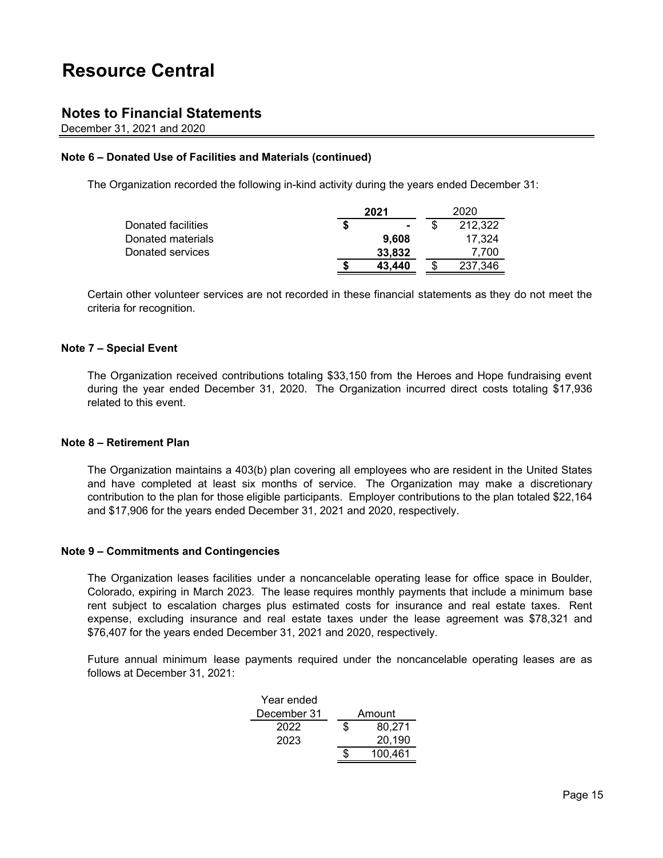#### **Notes to Financial Statements**

December 31, 2021 and 2020

#### **Note 6 – Donated Use of Facilities and Materials (continued)**

The Organization recorded the following in-kind activity during the years ended December 31:

|                    | 2021 |        | 2020    |
|--------------------|------|--------|---------|
| Donated facilities |      | ۰      | 212,322 |
| Donated materials  |      | 9.608  | 17.324  |
| Donated services   |      | 33,832 | 7.700   |
|                    |      | 43.440 | 237.346 |

Certain other volunteer services are not recorded in these financial statements as they do not meet the criteria for recognition.

#### **Note 7 – Special Event**

The Organization received contributions totaling \$33,150 from the Heroes and Hope fundraising event during the year ended December 31, 2020. The Organization incurred direct costs totaling \$17,936 related to this event.

#### **Note 8 – Retirement Plan**

The Organization maintains a 403(b) plan covering all employees who are resident in the United States and have completed at least six months of service. The Organization may make a discretionary contribution to the plan for those eligible participants. Employer contributions to the plan totaled \$22,164 and \$17,906 for the years ended December 31, 2021 and 2020, respectively.

#### **Note 9 – Commitments and Contingencies**

The Organization leases facilities under a noncancelable operating lease for office space in Boulder, Colorado, expiring in March 2023. The lease requires monthly payments that include a minimum base rent subject to escalation charges plus estimated costs for insurance and real estate taxes. Rent expense, excluding insurance and real estate taxes under the lease agreement was \$78,321 and \$76,407 for the years ended December 31, 2021 and 2020, respectively.

Future annual minimum lease payments required under the noncancelable operating leases are as follows at December 31, 2021:

| Year ended  |              |
|-------------|--------------|
| December 31 | Amount       |
| 2022        | \$<br>80,271 |
| 2023        | 20,190       |
|             | 100,461      |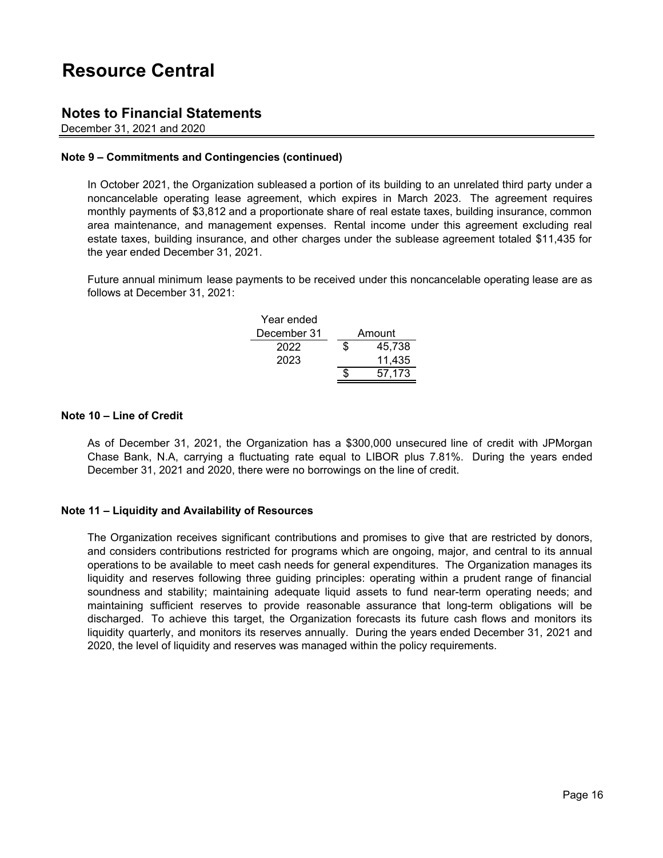#### **Notes to Financial Statements**

December 31, 2021 and 2020

#### **Note 9 – Commitments and Contingencies (continued)**

In October 2021, the Organization subleased a portion of its building to an unrelated third party under a noncancelable operating lease agreement, which expires in March 2023. The agreement requires monthly payments of \$3,812 and a proportionate share of real estate taxes, building insurance, common area maintenance, and management expenses. Rental income under this agreement excluding real estate taxes, building insurance, and other charges under the sublease agreement totaled \$11,435 for the year ended December 31, 2021.

Future annual minimum lease payments to be received under this noncancelable operating lease are as follows at December 31, 2021:

| Year ended  |              |  |  |
|-------------|--------------|--|--|
| December 31 | Amount       |  |  |
| 2022        | \$<br>45,738 |  |  |
| 2023        | 11,435       |  |  |
|             | 57.173       |  |  |

#### **Note 10 – Line of Credit**

As of December 31, 2021, the Organization has a \$300,000 unsecured line of credit with JPMorgan Chase Bank, N.A, carrying a fluctuating rate equal to LIBOR plus 7.81%. During the years ended December 31, 2021 and 2020, there were no borrowings on the line of credit.

#### **Note 11 – Liquidity and Availability of Resources**

The Organization receives significant contributions and promises to give that are restricted by donors, and considers contributions restricted for programs which are ongoing, major, and central to its annual operations to be available to meet cash needs for general expenditures. The Organization manages its liquidity and reserves following three guiding principles: operating within a prudent range of financial soundness and stability; maintaining adequate liquid assets to fund near-term operating needs; and maintaining sufficient reserves to provide reasonable assurance that long-term obligations will be discharged. To achieve this target, the Organization forecasts its future cash flows and monitors its liquidity quarterly, and monitors its reserves annually. During the years ended December 31, 2021 and 2020, the level of liquidity and reserves was managed within the policy requirements.